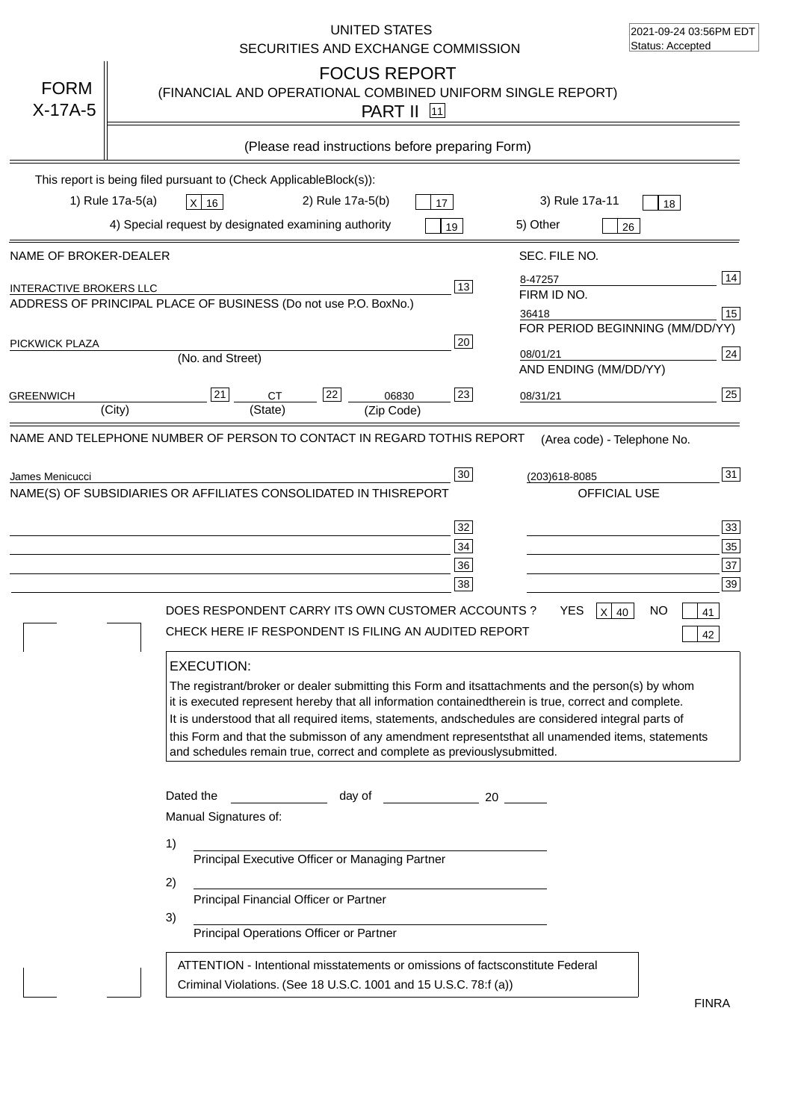|                                                         | UNITED STATES<br>SECURITIES AND EXCHANGE COMMISSION                                                                                                                                                                                                                                                                                                                                                                                                                                                                                                                                                                                                                                                                               | 2021-09-24 03:56PM EDT<br>Status: Accepted                                                           |
|---------------------------------------------------------|-----------------------------------------------------------------------------------------------------------------------------------------------------------------------------------------------------------------------------------------------------------------------------------------------------------------------------------------------------------------------------------------------------------------------------------------------------------------------------------------------------------------------------------------------------------------------------------------------------------------------------------------------------------------------------------------------------------------------------------|------------------------------------------------------------------------------------------------------|
| <b>FORM</b><br>$X-17A-5$                                | <b>FOCUS REPORT</b><br>(FINANCIAL AND OPERATIONAL COMBINED UNIFORM SINGLE REPORT)<br><b>PART II</b> 11                                                                                                                                                                                                                                                                                                                                                                                                                                                                                                                                                                                                                            |                                                                                                      |
|                                                         | (Please read instructions before preparing Form)                                                                                                                                                                                                                                                                                                                                                                                                                                                                                                                                                                                                                                                                                  |                                                                                                      |
|                                                         | This report is being filed pursuant to (Check Applicable<br>$Block(s)$ :<br>1) Rule 17a-5(a)<br>2) Rule 17a-5(b)<br>3) Rule 17a-11<br>X 16<br>17                                                                                                                                                                                                                                                                                                                                                                                                                                                                                                                                                                                  | 18                                                                                                   |
|                                                         | 4) Special request by designated examining authority<br>5) Other<br>19                                                                                                                                                                                                                                                                                                                                                                                                                                                                                                                                                                                                                                                            | 26                                                                                                   |
| NAME OF BROKER-DEALER<br><b>INTERACTIVE BROKERS LLC</b> | SEC. FILE NO.<br>8-47257<br>13<br>FIRM ID NO.<br>ADDRESS OF PRINCIPAL PLACE OF BUSINESS (Do not use P.O. Box<br>No.)                                                                                                                                                                                                                                                                                                                                                                                                                                                                                                                                                                                                              | 14                                                                                                   |
| PICKWICK PLAZA                                          | 36418<br>20<br>08/01/21<br>(No. and Street)<br>AND ENDING (MM/DD/YY)                                                                                                                                                                                                                                                                                                                                                                                                                                                                                                                                                                                                                                                              | 15<br>FOR PERIOD BEGINNING (MM/DD/YY)<br>24                                                          |
| <b>GREENWICH</b>                                        | 22<br>23<br>21<br><b>CT</b><br>06830<br>08/31/21<br>(State)<br>(City)<br>(Zip Code)                                                                                                                                                                                                                                                                                                                                                                                                                                                                                                                                                                                                                                               | 25                                                                                                   |
|                                                         | NAME(S) OF SUBSIDIARIES OR AFFILIATES CONSOLIDATED IN THIS<br><b>REPORT</b><br>32<br>34<br>36<br>38<br>DOES RESPONDENT CARRY ITS OWN CUSTOMER ACCOUNTS ?<br>YES.<br>x<br>CHECK HERE IF RESPONDENT IS FILING AN AUDITED REPORT<br><b>EXECUTION:</b><br>The registrant/broker or dealer submitting this Form and its<br>attachments and the person(s) by whom<br>it is executed represent hereby that all information contained<br>therein is true, correct and complete.<br>It is understood that all required items, statements, and<br>schedules are considered integral parts of<br>this Form and that the submisson of any amendment represents<br>and schedules remain true, correct and complete as previously<br>submitted. | OFFICIAL USE<br>33<br>35<br>37<br>39<br>NΟ<br>40<br>41<br>42<br>that all unamended items, statements |
|                                                         | Dated the<br>day of<br>20<br>Manual Signatures of:<br>1)<br>Principal Executive Officer or Managing Partner<br>2)<br>Principal Financial Officer or Partner<br>3)<br>Principal Operations Officer or Partner<br>ATTENTION - Intentional misstatements or omissions of facts<br>constitute Federal<br>Criminal Violations. (See 18 U.S.C. 1001 and 15 U.S.C. 78:f (a)                                                                                                                                                                                                                                                                                                                                                              | <b>FINRA</b>                                                                                         |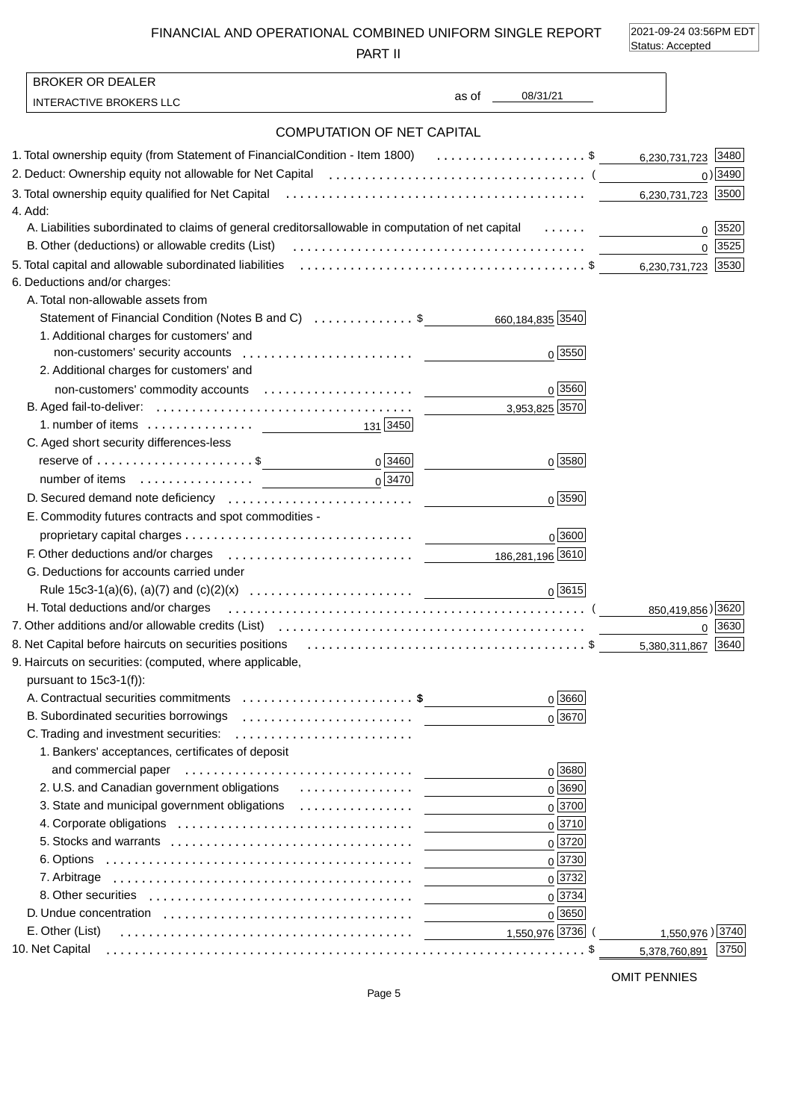FINANCIAL AND OPERATIONAL COMBINED UNIFORM SINGLE REPORT

PART II

2021-09-24 03:56PM EDT Status: Accepted

| <b>BROKER OR DEALER</b>                                                                                                                                     |                               |                       |
|-------------------------------------------------------------------------------------------------------------------------------------------------------------|-------------------------------|-----------------------|
| <b>INTERACTIVE BROKERS LLC</b>                                                                                                                              | 08/31/21<br>as of the control |                       |
| <b>COMPUTATION OF NET CAPITAL</b>                                                                                                                           |                               |                       |
| 1. Total ownership equity (from Statement of Financial Condition - Item 1800) \$                                                                            |                               | 6,230,731,723 3480    |
| 2. Deduct: Ownership equity not allowable for Net Capital (allocation contains and contained all of the Capita                                              |                               | $0)$ 3490             |
|                                                                                                                                                             |                               | 6,230,731,723 3500    |
| 4. Add:                                                                                                                                                     |                               |                       |
| A. Liabilities subordinated to claims of general creditors allowable in computation of net capital                                                          |                               | 0   3520              |
| B. Other (deductions) or allowable credits (List)                                                                                                           |                               | 0 3525                |
| 5. Total capital and allowable subordinated liabilities (allocation contains and contained and allowable subordinated liabilities (allocation contains). \$ |                               | 6,230,731,723 3530    |
| 6. Deductions and/or charges:                                                                                                                               |                               |                       |
| A. Total non-allowable assets from                                                                                                                          |                               |                       |
| Statement of Financial Condition (Notes B and C) \$                                                                                                         | 660,184,835 3540              |                       |
| 1. Additional charges for customers' and                                                                                                                    |                               |                       |
|                                                                                                                                                             | $0\sqrt{3550}$                |                       |
| 2. Additional charges for customers' and                                                                                                                    |                               |                       |
|                                                                                                                                                             | $0\sqrt{3560}$                |                       |
|                                                                                                                                                             | 3,953,825 3570                |                       |
| 1. number of items $\ldots \ldots \ldots \ldots$ [3450]                                                                                                     |                               |                       |
| C. Aged short security differences-less                                                                                                                     |                               |                       |
| $0\sqrt{3460}$                                                                                                                                              | $0\sqrt{3580}$                |                       |
| $0\sqrt{3470}$                                                                                                                                              |                               |                       |
|                                                                                                                                                             | $0\sqrt{3590}$                |                       |
| E. Commodity futures contracts and spot commodities -                                                                                                       |                               |                       |
|                                                                                                                                                             | 0 3600                        |                       |
|                                                                                                                                                             | 186,281,196 3610              |                       |
| G. Deductions for accounts carried under                                                                                                                    |                               |                       |
|                                                                                                                                                             | 0 3615                        |                       |
| H. Total deductions and/or charges                                                                                                                          |                               | 850,419,856) 3620     |
|                                                                                                                                                             |                               | 0 3630                |
|                                                                                                                                                             |                               | 5,380,311,867 3640    |
| 9. Haircuts on securities: (computed, where applicable,                                                                                                     |                               |                       |
| pursuant to 15c3-1(f)):                                                                                                                                     |                               |                       |
| A. Contractual securities commitments \$<br>B. Subordinated securities borrowings                                                                           | 0 3660                        |                       |
| C. Trading and investment securities:                                                                                                                       | $0\sqrt{3670}$                |                       |
| 1. Bankers' acceptances, certificates of deposit                                                                                                            |                               |                       |
| and commercial paper (educational commercial paper)                                                                                                         | $0\sqrt{3680}$                |                       |
| 2. U.S. and Canadian government obligations                                                                                                                 | 0 3690                        |                       |
| 3. State and municipal government obligations                                                                                                               | $0\sqrt{3700}$                |                       |
|                                                                                                                                                             | $0\sqrt{3710}$                |                       |
|                                                                                                                                                             | 0 3720                        |                       |
|                                                                                                                                                             | 0 3730                        |                       |
|                                                                                                                                                             | $0\sqrt{3732}$                |                       |
|                                                                                                                                                             | $0\sqrt{3734}$                |                       |
|                                                                                                                                                             | 0 3650                        |                       |
| E. Other (List)                                                                                                                                             | 1,550,976 3736                | 1,550,976) 3740       |
| 10. Net Capital                                                                                                                                             |                               | 3750<br>5,378,760,891 |
|                                                                                                                                                             |                               |                       |

OMIT PENNIES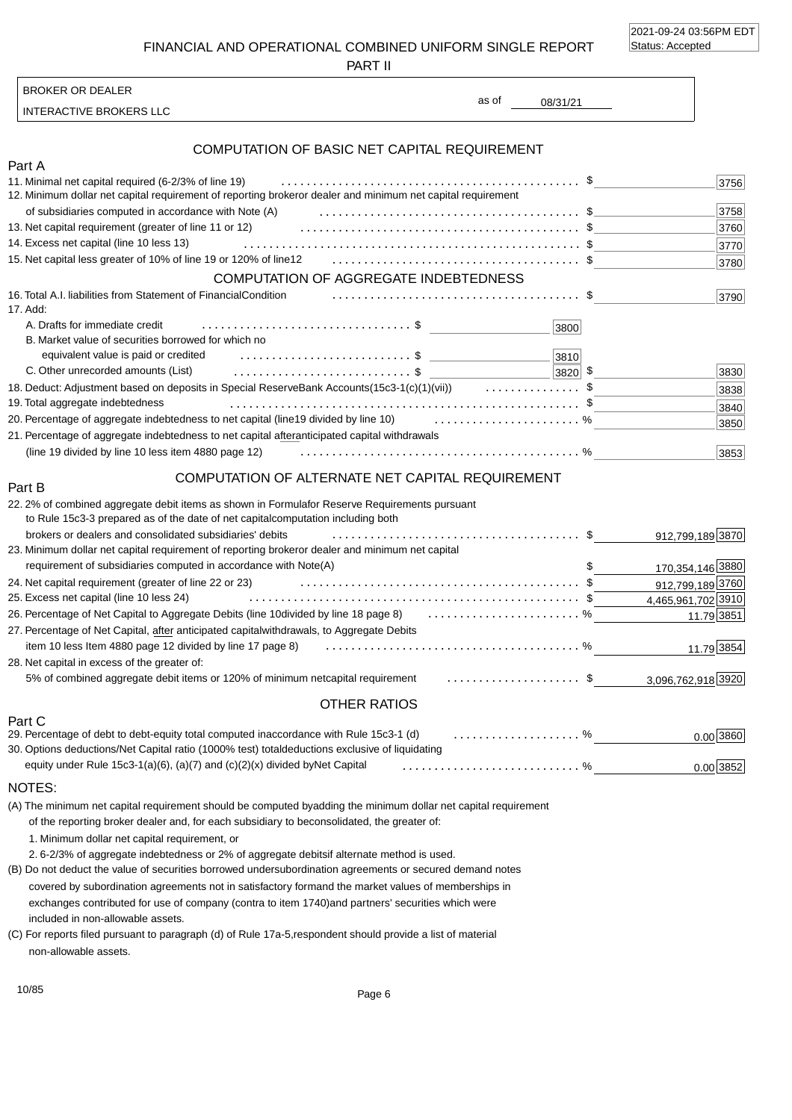2021-09-24 03:56PM EDT Status: Accepted

FINANCIAL AND OPERATIONAL COMBINED UNIFORM SINGLE REPORT

PART II

INTERACTIVE BROKERS LLC

BROKER OR DEALER

08/31/21 as of

#### 21. Percentage of aggregate indebtedness to net capital after anticipated capital withdrawals Part A COMPUTATION OF BASIC NET CAPITAL REQUIREMENT 11. Minimal net capital required (6-2/3% of line 19) of subsidiaries computed in accordance with Note (A) 13. Net capital requirement (greater of line 11 or 12) 14. Excess net capital (line 10 less 13) 15. Net capital less greater of 10% of line 19 or 120% of line 12 ....................................... \$ COMPUTATION OF AGGREGATE INDEBTEDNESS 16. Total A.I. liabilities from Statement of Financial Condition 17. Add: A. Drafts for immediate credit B. Market value of securities borrowed for which no equivalent value is paid or credited C. Other unrecorded amounts (List) 18. Deduct: Adjustment based on deposits in Special Reserve Bank Accounts(15c3-1(c)(1)(vii)) ...............\$ 19. Total aggregate indebtedness 20. Percentage of aggregate indebtedness to net capital (line 19 divided by line 10) ....................... % (line 19 divided by line 10 less item 4880 page 12) ..................................................... \$ ............................................... \$ ......................................... \$ ............................................ \$ ....................................... \$ ....................................................... \$ ............................................ % 12. Minimum dollar net capital requirement of reporting broker or dealer and minimum net capital requirement \$ 3820 3830 \$ ................................. \$ ........................... \$ ............................ 3756 3790 3838 3853 3800 3810 3840 3850 3780 3770 3758 3760

#### COMPUTATION OF ALTERNATE NET CAPITAL REQUIREMENT

| 22.2% of combined aggregate debit items as shown in Formula<br>for Reserve Requirements pursuant<br>to Rule 15c3-3 prepared as of the date of net capital<br>computation including both |                    |
|-----------------------------------------------------------------------------------------------------------------------------------------------------------------------------------------|--------------------|
| brokers or dealers and consolidated subsidiaries' debits                                                                                                                                | 912,799,189 3870   |
| or dealer and minimum net capital<br>23. Minimum dollar net capital requirement of reporting broker                                                                                     |                    |
| requirement of subsidiaries computed in accordance with Note(A)                                                                                                                         | 170,354,146 3880   |
| 24. Net capital requirement (greater of line 22 or 23)                                                                                                                                  | 912,799,189 3760   |
| 25. Excess net capital (line 10 less 24)                                                                                                                                                | 4,465,961,702 3910 |
| 26. Percentage of Net Capital to Aggregate Debits (line 10 divided by line 18 page 8)  %                                                                                                | 11.79 3851         |
| 27. Percentage of Net Capital, after anticipated capital withdrawals, to Aggregate Debits                                                                                               |                    |
| item 10 less Item 4880 page 12 divided by line 17 page 8)                                                                                                                               | 11.79 3854         |
| 28. Net capital in excess of the greater of:                                                                                                                                            |                    |
| capital requirement \$<br>5% of combined aggregate debit items or 120% of minimum net                                                                                                   | 3,096,762,918 3920 |
| <b>OTHER RATIOS</b>                                                                                                                                                                     |                    |
| Part C                                                                                                                                                                                  |                    |
| 29. Percentage of debt to debt-equity total computed in<br>accordance with Rule 15c3-1 (d)                                                                                              | $0.00$ 3860        |

0.00 3852 30. Options deductions/Net Capital ratio (1000% test) total deductions exclusive of liquidating equity under Rule 15c3-1(a)(6), (a)(7) and  $(c)(2)(x)$  divided by Net Capital ............................ %

#### NOTES:

Part B

(A) The minimum net capital requirement should be computed by adding the minimum dollar net capital requirement of the reporting broker dealer and, for each subsidiary to be consolidated, the greater of:

1. Minimum dollar net capital requirement, or

2. 6-2/3% of aggregate indebtedness or 2% of aggregate debits if alternate method is used.

included in non-allowable assets. (B) Do not deduct the value of securities borrowed under subordination agreements or secured demand notes covered by subordination agreements not in satisfactory form and the market values of memberships in exchanges contributed for use of company (contra to item 1740) and partners' securities which were

non-allowable assets. (C) For reports filed pursuant to paragraph (d) of Rule 17a-5, respondent should provide a list of material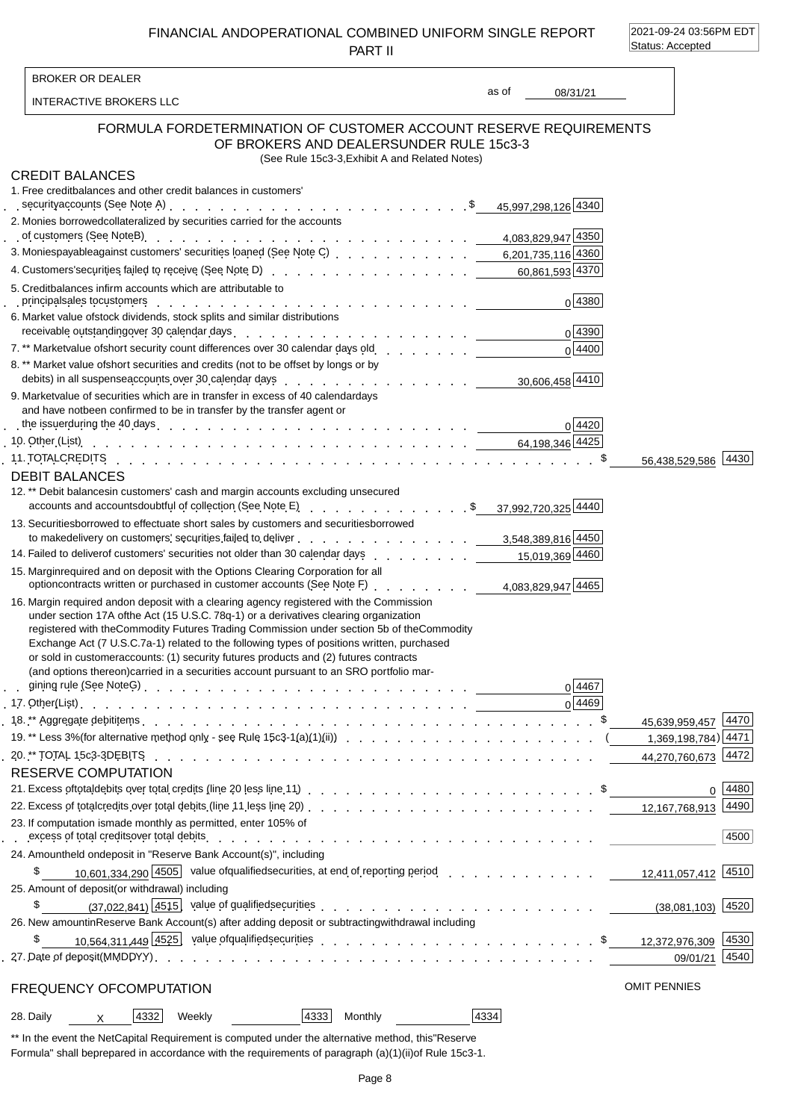FINANCIAL AND OPERATIONAL COMBINED UNIFORM SINGLE REPORT PART II

2021-09-24 03:56PM EDT Status: Accepted

 $\overline{\mathbf{1}}$ 

| <b>BROKER OR DEALER</b>                                                    |                                                                                                                                                                                                                                                                                                                                                                                                                                                                                                                                                                    |       |                          |                     |
|----------------------------------------------------------------------------|--------------------------------------------------------------------------------------------------------------------------------------------------------------------------------------------------------------------------------------------------------------------------------------------------------------------------------------------------------------------------------------------------------------------------------------------------------------------------------------------------------------------------------------------------------------------|-------|--------------------------|---------------------|
| INTERACTIVE BROKERS LLC                                                    |                                                                                                                                                                                                                                                                                                                                                                                                                                                                                                                                                                    | as of | 08/31/21                 |                     |
| <b>FORMULA FOR</b>                                                         | DETERMINATION OF CUSTOMER ACCOUNT RESERVE REQUIREMENTS<br>OF BROKERS AND DEALERS UNDER RULE 15c3-3<br>(See Rule 15c3-3, Exhibit A and Related Notes)                                                                                                                                                                                                                                                                                                                                                                                                               |       |                          |                     |
| <b>CREDIT BALANCES</b>                                                     |                                                                                                                                                                                                                                                                                                                                                                                                                                                                                                                                                                    |       |                          |                     |
| 1. Free credit balances and other credit balances in customers'            |                                                                                                                                                                                                                                                                                                                                                                                                                                                                                                                                                                    |       |                          |                     |
|                                                                            | security accounts (See Note A) response to response the contract of the A340                                                                                                                                                                                                                                                                                                                                                                                                                                                                                       |       |                          |                     |
| 2. Monies borrowed collateralized by securities carried for the accounts   |                                                                                                                                                                                                                                                                                                                                                                                                                                                                                                                                                                    |       |                          |                     |
|                                                                            |                                                                                                                                                                                                                                                                                                                                                                                                                                                                                                                                                                    |       |                          |                     |
|                                                                            | 3. Monies payable against customers' securities loaned (See Note C) et al. al. al. al. al. 201,735,116 4360                                                                                                                                                                                                                                                                                                                                                                                                                                                        |       |                          |                     |
|                                                                            | 4. Customers' securities failed to receive (See Note D) enter contact contact contact contact 60,861,593 4370                                                                                                                                                                                                                                                                                                                                                                                                                                                      |       |                          |                     |
| 5. Credit balances in firm accounts which are attributable to              |                                                                                                                                                                                                                                                                                                                                                                                                                                                                                                                                                                    |       | 0 4380                   |                     |
| 6. Market value of stock dividends, stock splits and similar distributions | principal sales to customers recover and contact to contact the contact of the contact of the contact of the contact of the contact of the contact of the contact of the contact of the contact of the contact of the contact                                                                                                                                                                                                                                                                                                                                      |       |                          |                     |
|                                                                            | receivable outstanding over 30 calendar days enter and contained a series of the contact of the contact of the                                                                                                                                                                                                                                                                                                                                                                                                                                                     |       | 0 4390                   |                     |
|                                                                            |                                                                                                                                                                                                                                                                                                                                                                                                                                                                                                                                                                    |       | $0\sqrt{4400}$           |                     |
|                                                                            | 8. ** Market value of short securities and credits (not to be offset by longs or by                                                                                                                                                                                                                                                                                                                                                                                                                                                                                |       |                          |                     |
|                                                                            | debits) in all suspense accounts over 30 calendar days<br>quality and the context of the context of the suspense of the suspense of the calendary<br>$\frac{30,606,458}{4410}$                                                                                                                                                                                                                                                                                                                                                                                     |       |                          |                     |
|                                                                            | 9. Market value of securities which are in transfer in excess of 40 calendar days                                                                                                                                                                                                                                                                                                                                                                                                                                                                                  |       |                          |                     |
| and have not been confirmed to be in transfer by the transfer agent or     |                                                                                                                                                                                                                                                                                                                                                                                                                                                                                                                                                                    |       |                          |                     |
|                                                                            |                                                                                                                                                                                                                                                                                                                                                                                                                                                                                                                                                                    |       | 0 4420                   |                     |
|                                                                            | 10. Other (List) run by a set of the set of the set of the set of the set of the set of the set of the set of the set of the set of the set of the set of the set of the set of the set of the set of the set of the set of th                                                                                                                                                                                                                                                                                                                                     |       |                          |                     |
|                                                                            |                                                                                                                                                                                                                                                                                                                                                                                                                                                                                                                                                                    |       |                          | 56,438,529,586 4430 |
| <b>DEBIT BALANCES</b>                                                      |                                                                                                                                                                                                                                                                                                                                                                                                                                                                                                                                                                    |       |                          |                     |
|                                                                            | 12.** Debit balances in customers' cash and margin accounts excluding unsecured<br>accounts and accounts doubtful of collection (See Note E) example to the control of the state of the state of the state of the Note of State of the State of the State of the State of the State of the State of the State of                                                                                                                                                                                                                                                   |       |                          |                     |
|                                                                            | 13. Securities borrowed to effectuate short sales by customers and securities borrowed                                                                                                                                                                                                                                                                                                                                                                                                                                                                             |       |                          |                     |
|                                                                            | to make delivery on customers' securities failed to deliver entering to the case of the state of the state of the state of the state of the state of the state of the state of the state of the state of the state of the stat                                                                                                                                                                                                                                                                                                                                     |       |                          |                     |
|                                                                            | 14. Failed to deliver of customers' securities not older than 30 calendar days                                                                                                                                                                                                                                                                                                                                                                                                                                                                                     |       | 15,019,369 4460          |                     |
|                                                                            | 15. Margin required and on deposit with the Options Clearing Corporation for all<br>option contracts written or purchased in customer accounts (See Note F)<br>1                                                                                                                                                                                                                                                                                                                                                                                                   |       | 4.083.829.947 4465       |                     |
|                                                                            | 16. Margin required and on deposit with a clearing agency registered with the Commission<br>under section 17A of the Act (15 U.S.C. 78q-1) or a derivatives clearing organization<br>registered with the Commodity Futures Trading Commission under section 5b of the Commodity<br>Exchange Act (7 U.S.C. 7a-1) related to the following types of positions written, purchased<br>or sold in customer accounts: (1) security futures products and (2) futures contracts<br>(and options thereon) carried in a securities account pursuant to an SRO portfolio mar- |       | 0 4467<br>$0\sqrt{4469}$ |                     |
|                                                                            |                                                                                                                                                                                                                                                                                                                                                                                                                                                                                                                                                                    |       |                          | 45,639,959,457 4470 |
|                                                                            |                                                                                                                                                                                                                                                                                                                                                                                                                                                                                                                                                                    |       |                          |                     |
|                                                                            |                                                                                                                                                                                                                                                                                                                                                                                                                                                                                                                                                                    |       |                          | 44,270,760,673 4472 |
| <b>RESERVE COMPUTATION</b>                                                 |                                                                                                                                                                                                                                                                                                                                                                                                                                                                                                                                                                    |       |                          |                     |
|                                                                            |                                                                                                                                                                                                                                                                                                                                                                                                                                                                                                                                                                    |       |                          | $0 \mid 4480$       |
|                                                                            |                                                                                                                                                                                                                                                                                                                                                                                                                                                                                                                                                                    |       |                          |                     |
| 23. If computation is made monthly as permitted, enter 105% of             | excess of total credits over total debits with a state of the state of the state of the state of the state of t                                                                                                                                                                                                                                                                                                                                                                                                                                                    |       |                          | 4500                |
| 24. Amount held on deposit in "Reserve Bank Account(s)", including         |                                                                                                                                                                                                                                                                                                                                                                                                                                                                                                                                                                    |       |                          |                     |
| \$                                                                         | 10.601.334.290 4505 value of qualified securities, at end of reporting period 12,411,057,412 4510                                                                                                                                                                                                                                                                                                                                                                                                                                                                  |       |                          |                     |
| 25. Amount of deposit (or withdrawal) including                            |                                                                                                                                                                                                                                                                                                                                                                                                                                                                                                                                                                    |       |                          |                     |
| \$                                                                         | (37,022,841) 4515 value of qualified securities example and the securities extended to the contract the contract of the contract of the contract of the contract of the contract of the contract of the contract of the contra                                                                                                                                                                                                                                                                                                                                     |       |                          |                     |
|                                                                            | 26. New amount in Reserve Bank Account(s) after adding deposit or subtracting withdrawal including                                                                                                                                                                                                                                                                                                                                                                                                                                                                 |       |                          |                     |
| \$                                                                         |                                                                                                                                                                                                                                                                                                                                                                                                                                                                                                                                                                    |       |                          |                     |
|                                                                            |                                                                                                                                                                                                                                                                                                                                                                                                                                                                                                                                                                    |       |                          | 09/01/21 4540       |
| FREQUENCY OF COMPUTATION                                                   |                                                                                                                                                                                                                                                                                                                                                                                                                                                                                                                                                                    |       |                          | <b>OMIT PENNIES</b> |
| $ 4332 $ Weekly<br>28. Daily<br>$\mathsf{X}$                               | 4333 <br><b>Monthly</b>                                                                                                                                                                                                                                                                                                                                                                                                                                                                                                                                            | 4334  |                          |                     |
|                                                                            |                                                                                                                                                                                                                                                                                                                                                                                                                                                                                                                                                                    |       |                          |                     |

\*\* In the event the Net Capital Requirement is computed under the alternative method, this "Reserve Formula" shall be prepared in accordance with the requirements of paragraph (a)(1)(ii) of Rule 15c3-1.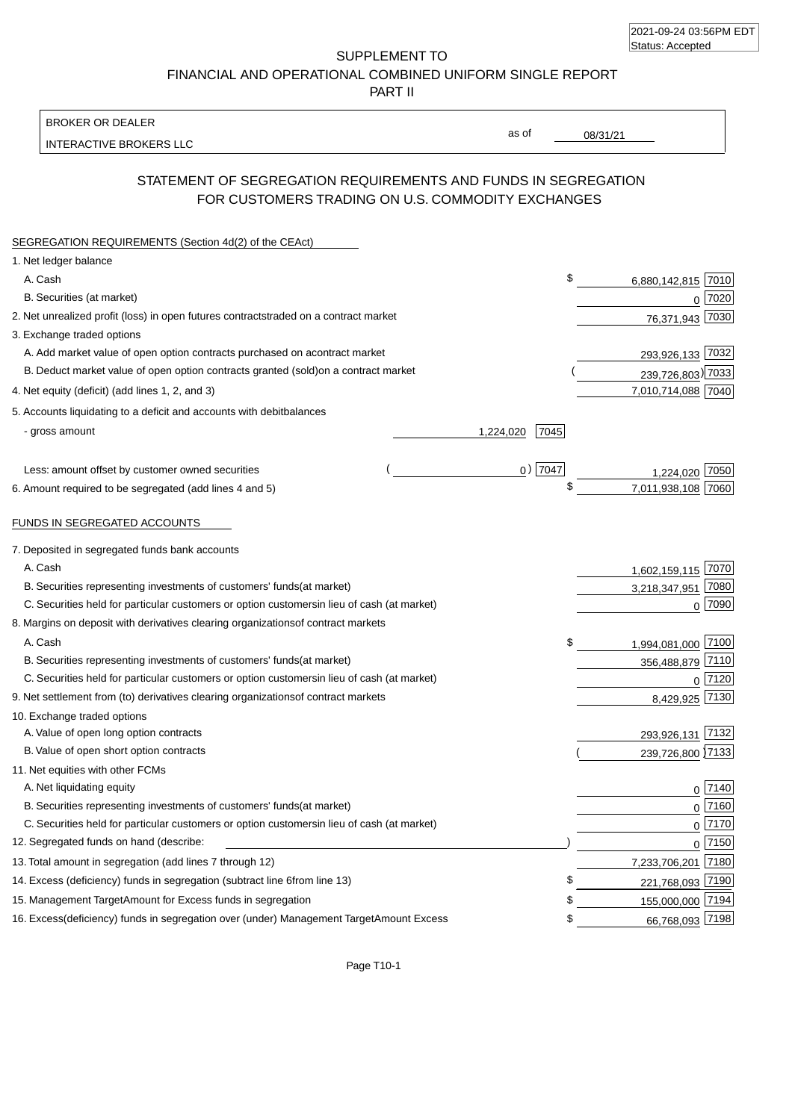| 2021-09-24 03:56PM EDT |  |
|------------------------|--|
| Status: Accepted       |  |

SUPPLEMENT TO FINANCIAL AND OPERATIONAL COMBINED UNIFORM SINGLE REPORT

PART II

### BROKER OR DEALER

INTERACTIVE BROKERS LLC

08/31/21

as of

# STATEMENT OF SEGREGATION REQUIREMENTS AND FUNDS IN SEGREGATION FOR CUSTOMERS TRADING ON U.S. COMMODITY EXCHANGES

| SEGREGATION REQUIREMENTS (Section 4d(2) of the CEAct)                                          |                             |  |
|------------------------------------------------------------------------------------------------|-----------------------------|--|
| 1. Net ledger balance                                                                          |                             |  |
| A. Cash                                                                                        | \$<br>6,880,142,815 7010    |  |
| B. Securities (at market)                                                                      | 7020<br>0                   |  |
| 2. Net unrealized profit (loss) in open futures contracts<br>traded on a contract market       | 76,371,943 7030             |  |
| 3. Exchange traded options                                                                     |                             |  |
| A. Add market value of open option contracts purchased on a<br>contract market                 | 7032<br>293,926,133         |  |
| B. Deduct market value of open option contracts granted (sold)<br>on a contract market         | 239,726,803) 7033           |  |
| 4. Net equity (deficit) (add lines 1, 2, and 3)                                                | 7,010,714,088 7040          |  |
| 5. Accounts liquidating to a deficit and accounts with debit<br>balances                       |                             |  |
| - gross amount                                                                                 | 7045<br>1,224,020           |  |
| Less: amount offset by customer owned securities                                               | $0)$ 7047<br>1,224,020 7050 |  |
| 6. Amount required to be segregated (add lines 4 and 5)                                        | 7,011,938,108 7060          |  |
| FUNDS IN SEGREGATED ACCOUNTS                                                                   |                             |  |
| 7. Deposited in segregated funds bank accounts                                                 |                             |  |
| A. Cash                                                                                        | 1,602,159,115 7070          |  |
| B. Securities representing investments of customers' funds<br>(at market)                      | 7080<br>3,218,347,951       |  |
| C. Securities held for particular customers or option customers<br>in lieu of cash (at market) | $0$ 7090                    |  |
| 8. Margins on deposit with derivatives clearing organizations<br>of contract markets           |                             |  |
| A. Cash                                                                                        | \$<br>1,994,081,000 7100    |  |
| B. Securities representing investments of customers' funds<br>(at market)                      | 356,488,879 7110            |  |
| C. Securities held for particular customers or option customers<br>in lieu of cash (at market) | 7120<br>0                   |  |
| 9. Net settlement from (to) derivatives clearing organizations<br>of contract markets          | 7130<br>8,429,925           |  |
| 10. Exchange traded options                                                                    |                             |  |
| A. Value of open long option contracts                                                         | 293,926,131 7132            |  |
| B. Value of open short option contracts                                                        | 239,726,800 7133            |  |
| 11. Net equities with other FCMs                                                               |                             |  |
| A. Net liquidating equity                                                                      | $0\sqrt{7140}$              |  |
| B. Securities representing investments of customers' funds<br>(at market)                      | $0\sqrt{7160}$              |  |
| C. Securities held for particular customers or option customers<br>in lieu of cash (at market) | $0\sqrt{7170}$              |  |
| 12. Segregated funds on hand (describe:                                                        | $0^{7150}$                  |  |
| 13. Total amount in segregation (add lines 7 through 12)                                       | 7,233,706,201 7180          |  |
| 14. Excess (deficiency) funds in segregation (subtract line 6 from line 13)                    | \$<br>221,768,093 7190      |  |
| 15. Management Target Amount for Excess funds in segregation                                   | 155,000,000 7194<br>\$      |  |
| 16. Excess (deficiency) funds in segregation over (under) Management Target Amount Excess      | 66,768,093 7198<br>\$       |  |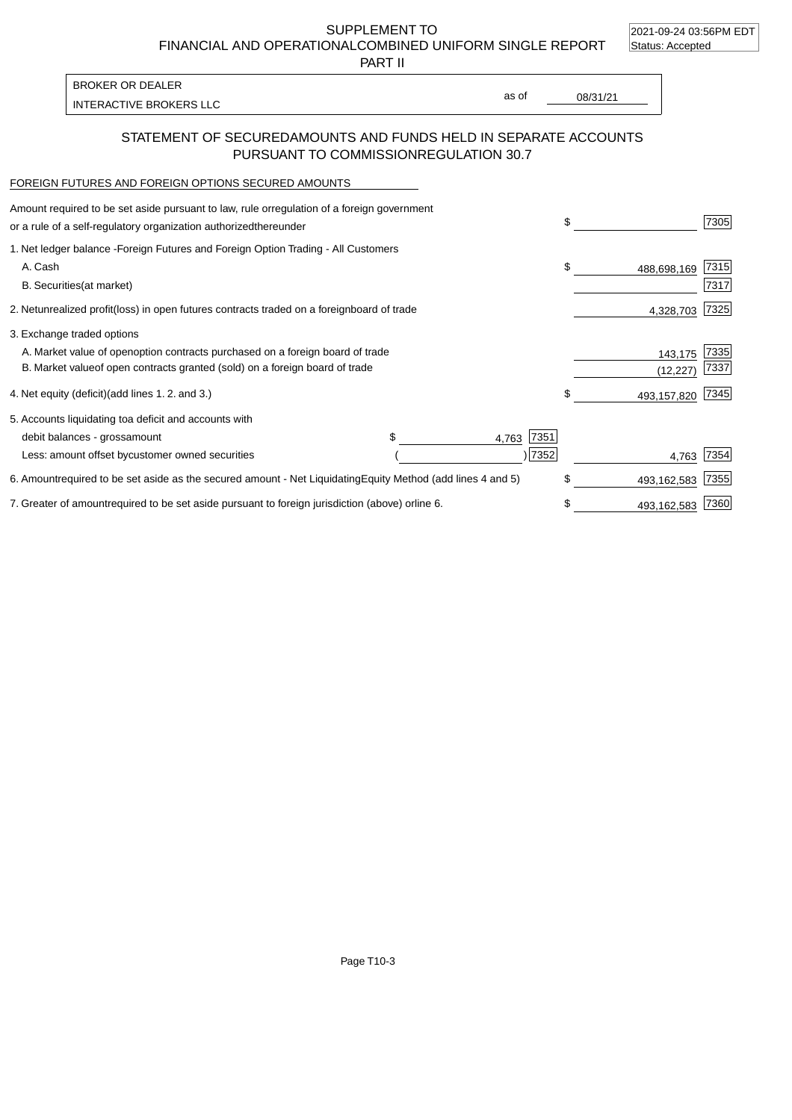2021-09-24 03:56PM EDT

SUPPLEMENT TO

FINANCIAL AND OPERATIONAL COMBINED UNIFORM SINGLE REPORT Status: Accepted

PART II

INTERACTIVE BROKERS LLC and the state of the state of the state of the state of the state of the state of the state of the state of the state of the state of the state of the state of the state of the state of the state of BROKER OR DEALER

as of

## STATEMENT OF SECURED AMOUNTS AND FUNDS HELD IN SEPARATE ACCOUNTS PURSUANT TO COMMISSION REGULATION 30.7

### FOREIGN FUTURES AND FOREIGN OPTIONS SECURED AMOUNTS

| Amount required to be set aside pursuant to law, rule or regulation of a foreign government<br>or a rule of a self-regulatory organization authorized<br>thereunder |                                   | \$  |             | 7305 |
|---------------------------------------------------------------------------------------------------------------------------------------------------------------------|-----------------------------------|-----|-------------|------|
| 1. Net ledger balance - Foreign Futures and Foreign Option Trading - All Customers                                                                                  |                                   |     |             |      |
| A. Cash                                                                                                                                                             |                                   | \$  | 488,698,169 | 7315 |
| <b>B.</b> Securities<br>(at market)                                                                                                                                 |                                   |     |             | 7317 |
| 2. Net unrealized profit (loss) in open futures contracts traded on a foreign                                                                                       | board of trade                    |     | 4,328,703   | 7325 |
| 3. Exchange traded options                                                                                                                                          |                                   |     |             |      |
| A. Market value of open option contracts purchased on a foreign board of trade                                                                                      |                                   |     | 143,175     | 7335 |
| B. Market value of open contracts granted (sold) on a foreign board of trade                                                                                        |                                   |     | (12, 227)   | 7337 |
| 4. Net equity (deficit) (add lines 1.2. and 3.)                                                                                                                     |                                   | \$. | 493,157,820 | 7345 |
| 5. Accounts liquidating to a deficit and accounts with                                                                                                              |                                   |     |             |      |
| debit balances - gross<br>amount                                                                                                                                    | 7351<br>4,763                     |     |             |      |
| Less: amount offset by customer owned securities                                                                                                                    | 7352                              |     | 4,763       | 7354 |
| 6. Amount required to be set aside as the secured amount - Net Liquidating                                                                                          | Equity Method (add lines 4 and 5) | \$  | 493,162,583 | 7355 |
| 7. Greater of amount required to be set aside pursuant to foreign jurisdiction (above) or line 6.                                                                   |                                   | \$  | 493,162,583 | 7360 |

Page T10-3